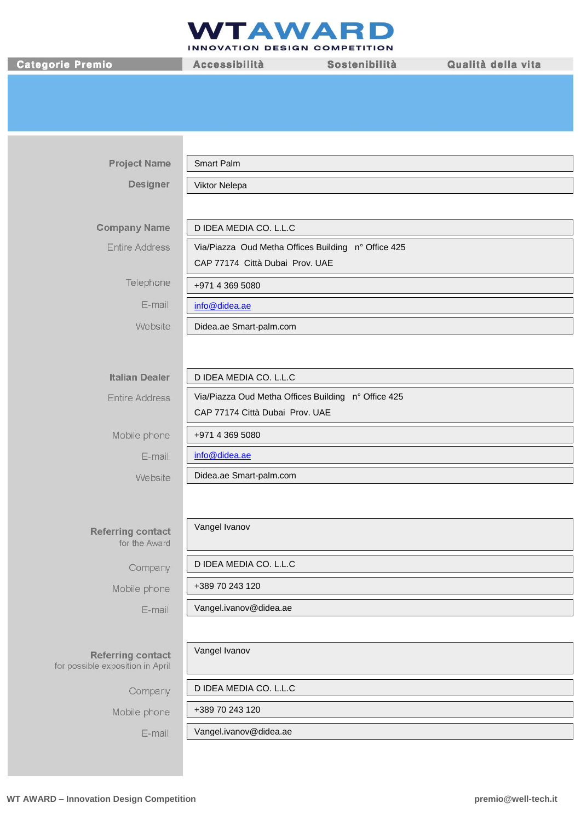## **NTAWAR** D

INNOVATION DESIGN COMPETITION

Categorie Premio

Accessibilità

Sostenibilità

Qualità della vita

| <b>Project Name</b>                                          | Smart Palm                                          |
|--------------------------------------------------------------|-----------------------------------------------------|
| <b>Designer</b>                                              | Viktor Nelepa                                       |
|                                                              |                                                     |
| <b>Company Name</b>                                          | D IDEA MEDIA CO. L.L.C                              |
| <b>Entire Address</b>                                        | Via/Piazza Oud Metha Offices Building n° Office 425 |
|                                                              | CAP 77174 Città Dubai Prov. UAE                     |
| Telephone                                                    | +971 4 369 5080                                     |
| E-mail                                                       | info@didea.ae                                       |
| Website                                                      | Didea.ae Smart-palm.com                             |
|                                                              |                                                     |
| <b>Italian Dealer</b>                                        | D IDEA MEDIA CO. L.L.C                              |
| <b>Entire Address</b>                                        | Via/Piazza Oud Metha Offices Building n° Office 425 |
|                                                              | CAP 77174 Città Dubai Prov. UAE                     |
| Mobile phone                                                 | +971 4 369 5080                                     |
| E-mail                                                       | info@didea.ae                                       |
| Website                                                      | Didea.ae Smart-palm.com                             |
|                                                              |                                                     |
| <b>Referring contact</b><br>for the Award                    | Vangel Ivanov                                       |
| Company                                                      | D IDEA MEDIA CO. L.L.C                              |
| Mobile phone                                                 | +389 70 243 120                                     |
| E-mail                                                       | Vangel.ivanov@didea.ae                              |
|                                                              |                                                     |
| <b>Referring contact</b><br>for possible exposition in April | Vangel Ivanov                                       |
| Company                                                      | D IDEA MEDIA CO. L.L.C                              |
| Mobile phone                                                 | +389 70 243 120                                     |
| E-mail                                                       | Vangel.ivanov@didea.ae                              |
|                                                              |                                                     |